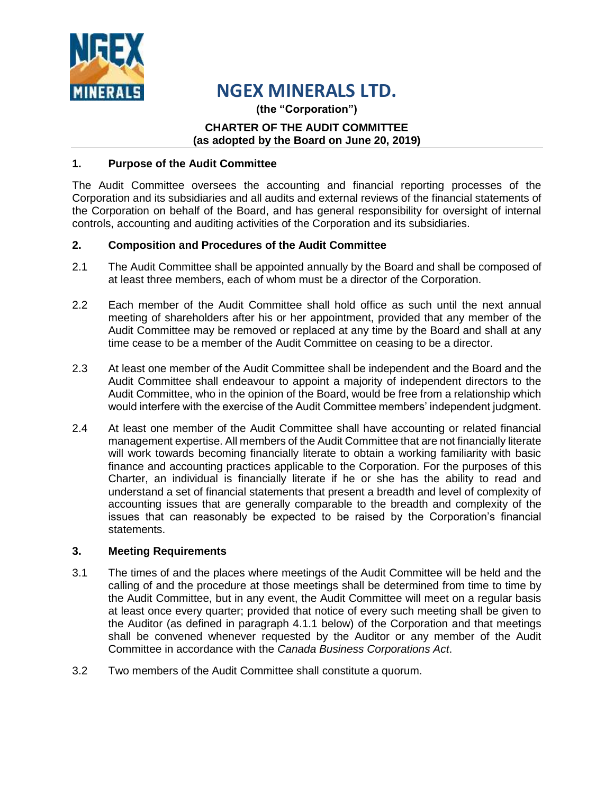

# **NGEX MINERALS LTD.**

**(the "Corporation")**

### **CHARTER OF THE AUDIT COMMITTEE (as adopted by the Board on June 20, 2019)**

## **1. Purpose of the Audit Committee**

The Audit Committee oversees the accounting and financial reporting processes of the Corporation and its subsidiaries and all audits and external reviews of the financial statements of the Corporation on behalf of the Board, and has general responsibility for oversight of internal controls, accounting and auditing activities of the Corporation and its subsidiaries.

## **2. Composition and Procedures of the Audit Committee**

- 2.1 The Audit Committee shall be appointed annually by the Board and shall be composed of at least three members, each of whom must be a director of the Corporation.
- 2.2 Each member of the Audit Committee shall hold office as such until the next annual meeting of shareholders after his or her appointment, provided that any member of the Audit Committee may be removed or replaced at any time by the Board and shall at any time cease to be a member of the Audit Committee on ceasing to be a director.
- 2.3 At least one member of the Audit Committee shall be independent and the Board and the Audit Committee shall endeavour to appoint a majority of independent directors to the Audit Committee, who in the opinion of the Board, would be free from a relationship which would interfere with the exercise of the Audit Committee members' independent judgment.
- 2.4 At least one member of the Audit Committee shall have accounting or related financial management expertise. All members of the Audit Committee that are not financially literate will work towards becoming financially literate to obtain a working familiarity with basic finance and accounting practices applicable to the Corporation. For the purposes of this Charter, an individual is financially literate if he or she has the ability to read and understand a set of financial statements that present a breadth and level of complexity of accounting issues that are generally comparable to the breadth and complexity of the issues that can reasonably be expected to be raised by the Corporation's financial statements.

### **3. Meeting Requirements**

- 3.1 The times of and the places where meetings of the Audit Committee will be held and the calling of and the procedure at those meetings shall be determined from time to time by the Audit Committee, but in any event, the Audit Committee will meet on a regular basis at least once every quarter; provided that notice of every such meeting shall be given to the Auditor (as defined in paragraph 4.1.1 below) of the Corporation and that meetings shall be convened whenever requested by the Auditor or any member of the Audit Committee in accordance with the *Canada Business Corporations Act*.
- 3.2 Two members of the Audit Committee shall constitute a quorum.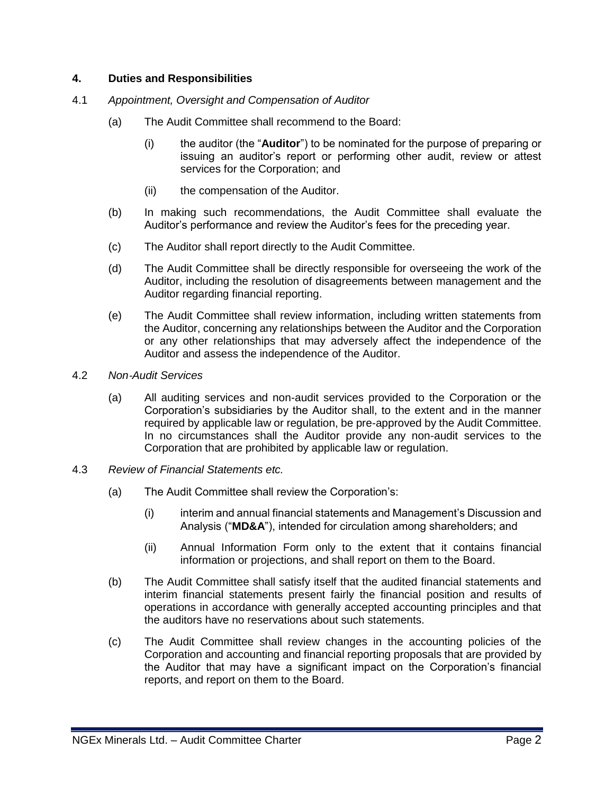## **4. Duties and Responsibilities**

- 4.1 *Appointment, Oversight and Compensation of Auditor*
	- (a) The Audit Committee shall recommend to the Board:
		- (i) the auditor (the "**Auditor**") to be nominated for the purpose of preparing or issuing an auditor's report or performing other audit, review or attest services for the Corporation; and
		- (ii) the compensation of the Auditor.
	- (b) In making such recommendations, the Audit Committee shall evaluate the Auditor's performance and review the Auditor's fees for the preceding year.
	- (c) The Auditor shall report directly to the Audit Committee.
	- (d) The Audit Committee shall be directly responsible for overseeing the work of the Auditor, including the resolution of disagreements between management and the Auditor regarding financial reporting.
	- (e) The Audit Committee shall review information, including written statements from the Auditor, concerning any relationships between the Auditor and the Corporation or any other relationships that may adversely affect the independence of the Auditor and assess the independence of the Auditor.
- 4.2 *Non*‐*Audit Services*
	- (a) All auditing services and non-audit services provided to the Corporation or the Corporation's subsidiaries by the Auditor shall, to the extent and in the manner required by applicable law or regulation, be pre-approved by the Audit Committee. In no circumstances shall the Auditor provide any non-audit services to the Corporation that are prohibited by applicable law or regulation.
- 4.3 *Review of Financial Statements etc.*
	- (a) The Audit Committee shall review the Corporation's:
		- (i) interim and annual financial statements and Management's Discussion and Analysis ("**MD&A**"), intended for circulation among shareholders; and
		- (ii) Annual Information Form only to the extent that it contains financial information or projections, and shall report on them to the Board.
	- (b) The Audit Committee shall satisfy itself that the audited financial statements and interim financial statements present fairly the financial position and results of operations in accordance with generally accepted accounting principles and that the auditors have no reservations about such statements.
	- (c) The Audit Committee shall review changes in the accounting policies of the Corporation and accounting and financial reporting proposals that are provided by the Auditor that may have a significant impact on the Corporation's financial reports, and report on them to the Board.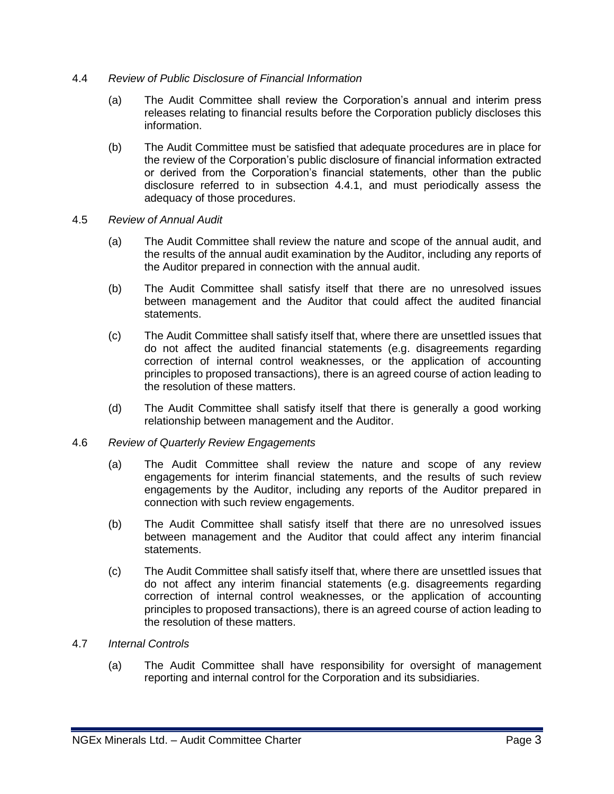- 4.4 *Review of Public Disclosure of Financial Information*
	- (a) The Audit Committee shall review the Corporation's annual and interim press releases relating to financial results before the Corporation publicly discloses this information.
	- (b) The Audit Committee must be satisfied that adequate procedures are in place for the review of the Corporation's public disclosure of financial information extracted or derived from the Corporation's financial statements, other than the public disclosure referred to in subsection 4.4.1, and must periodically assess the adequacy of those procedures.
- 4.5 *Review of Annual Audit*
	- (a) The Audit Committee shall review the nature and scope of the annual audit, and the results of the annual audit examination by the Auditor, including any reports of the Auditor prepared in connection with the annual audit.
	- (b) The Audit Committee shall satisfy itself that there are no unresolved issues between management and the Auditor that could affect the audited financial statements.
	- (c) The Audit Committee shall satisfy itself that, where there are unsettled issues that do not affect the audited financial statements (e.g. disagreements regarding correction of internal control weaknesses, or the application of accounting principles to proposed transactions), there is an agreed course of action leading to the resolution of these matters.
	- (d) The Audit Committee shall satisfy itself that there is generally a good working relationship between management and the Auditor.
- 4.6 *Review of Quarterly Review Engagements*
	- (a) The Audit Committee shall review the nature and scope of any review engagements for interim financial statements, and the results of such review engagements by the Auditor, including any reports of the Auditor prepared in connection with such review engagements.
	- (b) The Audit Committee shall satisfy itself that there are no unresolved issues between management and the Auditor that could affect any interim financial statements.
	- (c) The Audit Committee shall satisfy itself that, where there are unsettled issues that do not affect any interim financial statements (e.g. disagreements regarding correction of internal control weaknesses, or the application of accounting principles to proposed transactions), there is an agreed course of action leading to the resolution of these matters.
- 4.7 *Internal Controls*
	- (a) The Audit Committee shall have responsibility for oversight of management reporting and internal control for the Corporation and its subsidiaries.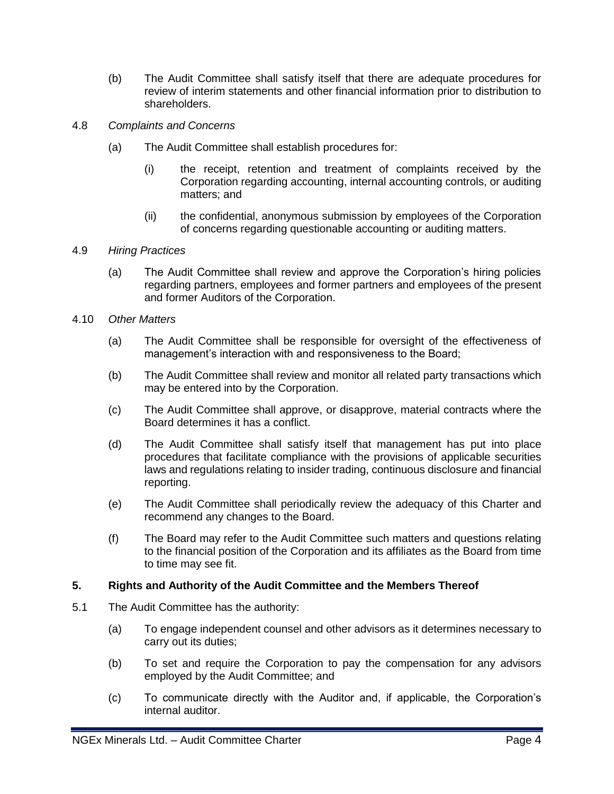- (b) The Audit Committee shall satisfy itself that there are adequate procedures for review of interim statements and other financial information prior to distribution to shareholders.
- 4.8 *Complaints and Concerns*
	- (a) The Audit Committee shall establish procedures for:
		- (i) the receipt, retention and treatment of complaints received by the Corporation regarding accounting, internal accounting controls, or auditing matters; and
		- (ii) the confidential, anonymous submission by employees of the Corporation of concerns regarding questionable accounting or auditing matters.
- 4.9 *Hiring Practices*
	- (a) The Audit Committee shall review and approve the Corporation's hiring policies regarding partners, employees and former partners and employees of the present and former Auditors of the Corporation.
- 4.10 *Other Matters*
	- (a) The Audit Committee shall be responsible for oversight of the effectiveness of management's interaction with and responsiveness to the Board;
	- (b) The Audit Committee shall review and monitor all related party transactions which may be entered into by the Corporation.
	- (c) The Audit Committee shall approve, or disapprove, material contracts where the Board determines it has a conflict.
	- (d) The Audit Committee shall satisfy itself that management has put into place procedures that facilitate compliance with the provisions of applicable securities laws and regulations relating to insider trading, continuous disclosure and financial reporting.
	- (e) The Audit Committee shall periodically review the adequacy of this Charter and recommend any changes to the Board.
	- (f) The Board may refer to the Audit Committee such matters and questions relating to the financial position of the Corporation and its affiliates as the Board from time to time may see fit.

#### **5. Rights and Authority of the Audit Committee and the Members Thereof**

- 5.1 The Audit Committee has the authority:
	- (a) To engage independent counsel and other advisors as it determines necessary to carry out its duties;
	- (b) To set and require the Corporation to pay the compensation for any advisors employed by the Audit Committee; and
	- (c) To communicate directly with the Auditor and, if applicable, the Corporation's internal auditor.